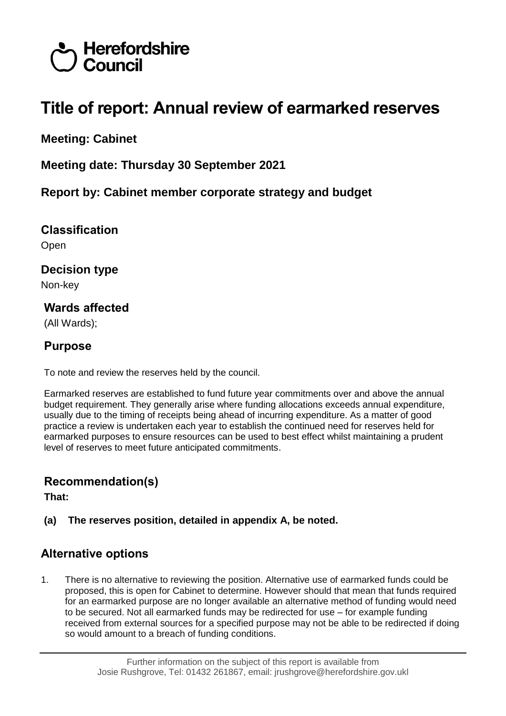# Herefordshire  $\overline{\mathcal{C}}$  Council

# **Title of report: Annual review of earmarked reserves**

### **Meeting: Cabinet**

**Meeting date: Thursday 30 September 2021**

**Report by: Cabinet member corporate strategy and budget**

**Classification Open** 

# **Decision type**

Non-key

#### **Wards affected**

(All Wards);

# **Purpose**

To note and review the reserves held by the council.

Earmarked reserves are established to fund future year commitments over and above the annual budget requirement. They generally arise where funding allocations exceeds annual expenditure, usually due to the timing of receipts being ahead of incurring expenditure. As a matter of good practice a review is undertaken each year to establish the continued need for reserves held for earmarked purposes to ensure resources can be used to best effect whilst maintaining a prudent level of reserves to meet future anticipated commitments.

# **Recommendation(s)**

**That:**

**(a) The reserves position, detailed in appendix A, be noted.**

# **Alternative options**

1. There is no alternative to reviewing the position. Alternative use of earmarked funds could be proposed, this is open for Cabinet to determine. However should that mean that funds required for an earmarked purpose are no longer available an alternative method of funding would need to be secured. Not all earmarked funds may be redirected for use – for example funding received from external sources for a specified purpose may not be able to be redirected if doing so would amount to a breach of funding conditions.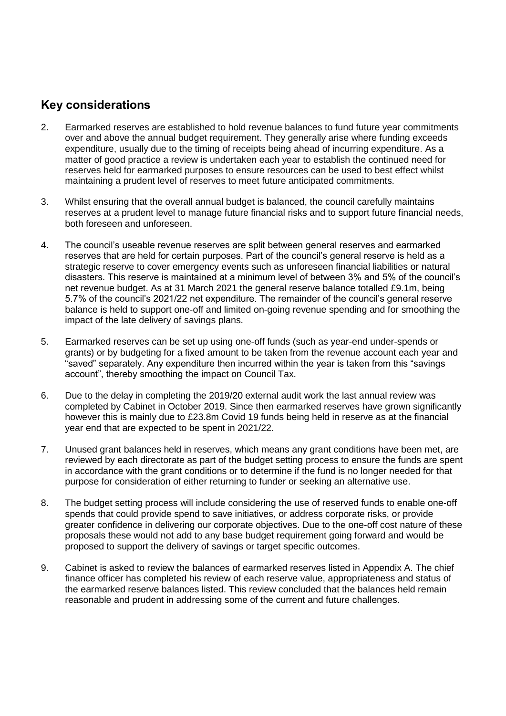## **Key considerations**

- 2. Earmarked reserves are established to hold revenue balances to fund future year commitments over and above the annual budget requirement. They generally arise where funding exceeds expenditure, usually due to the timing of receipts being ahead of incurring expenditure. As a matter of good practice a review is undertaken each year to establish the continued need for reserves held for earmarked purposes to ensure resources can be used to best effect whilst maintaining a prudent level of reserves to meet future anticipated commitments.
- 3. Whilst ensuring that the overall annual budget is balanced, the council carefully maintains reserves at a prudent level to manage future financial risks and to support future financial needs, both foreseen and unforeseen.
- 4. The council's useable revenue reserves are split between general reserves and earmarked reserves that are held for certain purposes. Part of the council's general reserve is held as a strategic reserve to cover emergency events such as unforeseen financial liabilities or natural disasters. This reserve is maintained at a minimum level of between 3% and 5% of the council's net revenue budget. As at 31 March 2021 the general reserve balance totalled £9.1m, being 5.7% of the council's 2021/22 net expenditure. The remainder of the council's general reserve balance is held to support one-off and limited on-going revenue spending and for smoothing the impact of the late delivery of savings plans.
- 5. Earmarked reserves can be set up using one-off funds (such as year-end under-spends or grants) or by budgeting for a fixed amount to be taken from the revenue account each year and "saved" separately. Any expenditure then incurred within the year is taken from this "savings account", thereby smoothing the impact on Council Tax.
- 6. Due to the delay in completing the 2019/20 external audit work the last annual review was completed by Cabinet in October 2019. Since then earmarked reserves have grown significantly however this is mainly due to £23.8m Covid 19 funds being held in reserve as at the financial year end that are expected to be spent in 2021/22.
- 7. Unused grant balances held in reserves, which means any grant conditions have been met, are reviewed by each directorate as part of the budget setting process to ensure the funds are spent in accordance with the grant conditions or to determine if the fund is no longer needed for that purpose for consideration of either returning to funder or seeking an alternative use.
- 8. The budget setting process will include considering the use of reserved funds to enable one-off spends that could provide spend to save initiatives, or address corporate risks, or provide greater confidence in delivering our corporate objectives. Due to the one-off cost nature of these proposals these would not add to any base budget requirement going forward and would be proposed to support the delivery of savings or target specific outcomes.
- 9. Cabinet is asked to review the balances of earmarked reserves listed in Appendix A. The chief finance officer has completed his review of each reserve value, appropriateness and status of the earmarked reserve balances listed. This review concluded that the balances held remain reasonable and prudent in addressing some of the current and future challenges.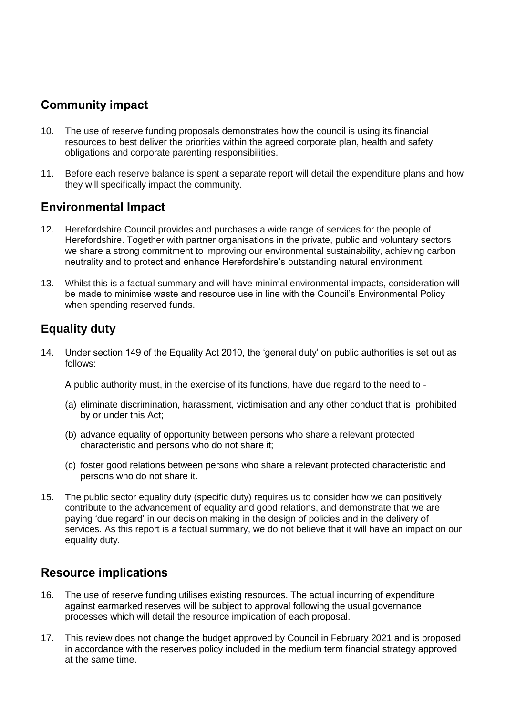### **Community impact**

- 10. The use of reserve funding proposals demonstrates how the council is using its financial resources to best deliver the priorities within the agreed corporate plan, health and safety obligations and corporate parenting responsibilities.
- 11. Before each reserve balance is spent a separate report will detail the expenditure plans and how they will specifically impact the community.

#### **Environmental Impact**

- 12. Herefordshire Council provides and purchases a wide range of services for the people of Herefordshire. Together with partner organisations in the private, public and voluntary sectors we share a strong commitment to improving our environmental sustainability, achieving carbon neutrality and to protect and enhance Herefordshire's outstanding natural environment.
- 13. Whilst this is a factual summary and will have minimal environmental impacts, consideration will be made to minimise waste and resource use in line with the Council's Environmental Policy when spending reserved funds.

# **Equality duty**

14. Under section 149 of the Equality Act 2010, the 'general duty' on public authorities is set out as follows:

A public authority must, in the exercise of its functions, have due regard to the need to -

- (a) eliminate discrimination, harassment, victimisation and any other conduct that is prohibited by or under this Act;
- (b) advance equality of opportunity between persons who share a relevant protected characteristic and persons who do not share it;
- (c) foster good relations between persons who share a relevant protected characteristic and persons who do not share it.
- 15. The public sector equality duty (specific duty) requires us to consider how we can positively contribute to the advancement of equality and good relations, and demonstrate that we are paying 'due regard' in our decision making in the design of policies and in the delivery of services. As this report is a factual summary, we do not believe that it will have an impact on our equality duty.

#### **Resource implications**

- 16. The use of reserve funding utilises existing resources. The actual incurring of expenditure against earmarked reserves will be subject to approval following the usual governance processes which will detail the resource implication of each proposal.
- 17. This review does not change the budget approved by Council in February 2021 and is proposed in accordance with the reserves policy included in the medium term financial strategy approved at the same time.